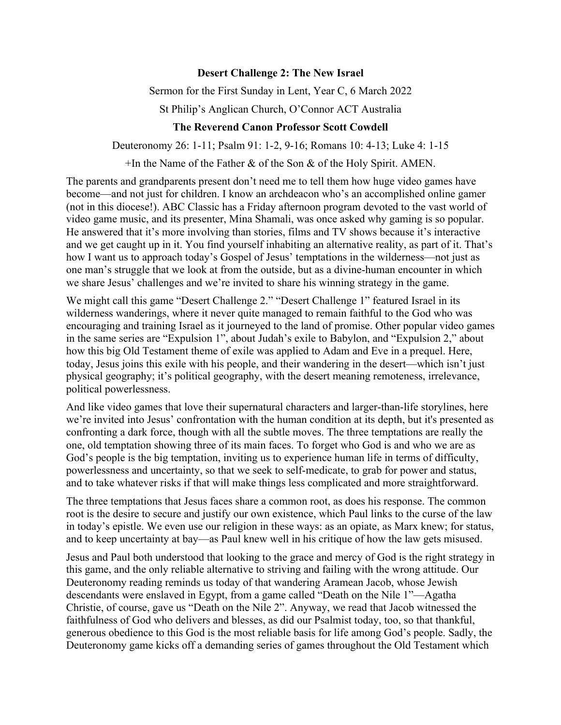## **Desert Challenge 2: The New Israel**

Sermon for the First Sunday in Lent, Year C, 6 March 2022

St Philip's Anglican Church, O'Connor ACT Australia

## **The Reverend Canon Professor Scott Cowdell**

Deuteronomy 26: 1-11; Psalm 91: 1-2, 9-16; Romans 10: 4-13; Luke 4: 1-15

+In the Name of the Father & of the Son & of the Holy Spirit. AMEN.

The parents and grandparents present don't need me to tell them how huge video games have become—and not just for children. I know an archdeacon who's an accomplished online gamer (not in this diocese!). ABC Classic has a Friday afternoon program devoted to the vast world of video game music, and its presenter, Mina Shamali, was once asked why gaming is so popular. He answered that it's more involving than stories, films and TV shows because it's interactive and we get caught up in it. You find yourself inhabiting an alternative reality, as part of it. That's how I want us to approach today's Gospel of Jesus' temptations in the wilderness—not just as one man's struggle that we look at from the outside, but as a divine-human encounter in which we share Jesus' challenges and we're invited to share his winning strategy in the game.

We might call this game "Desert Challenge 2." "Desert Challenge 1" featured Israel in its wilderness wanderings, where it never quite managed to remain faithful to the God who was encouraging and training Israel as it journeyed to the land of promise. Other popular video games in the same series are "Expulsion 1", about Judah's exile to Babylon, and "Expulsion 2," about how this big Old Testament theme of exile was applied to Adam and Eve in a prequel. Here, today, Jesus joins this exile with his people, and their wandering in the desert—which isn't just physical geography; it's political geography, with the desert meaning remoteness, irrelevance, political powerlessness.

And like video games that love their supernatural characters and larger-than-life storylines, here we're invited into Jesus' confrontation with the human condition at its depth, but it's presented as confronting a dark force, though with all the subtle moves. The three temptations are really the one, old temptation showing three of its main faces. To forget who God is and who we are as God's people is the big temptation, inviting us to experience human life in terms of difficulty, powerlessness and uncertainty, so that we seek to self-medicate, to grab for power and status, and to take whatever risks if that will make things less complicated and more straightforward.

The three temptations that Jesus faces share a common root, as does his response. The common root is the desire to secure and justify our own existence, which Paul links to the curse of the law in today's epistle. We even use our religion in these ways: as an opiate, as Marx knew; for status, and to keep uncertainty at bay—as Paul knew well in his critique of how the law gets misused.

Jesus and Paul both understood that looking to the grace and mercy of God is the right strategy in this game, and the only reliable alternative to striving and failing with the wrong attitude. Our Deuteronomy reading reminds us today of that wandering Aramean Jacob, whose Jewish descendants were enslaved in Egypt, from a game called "Death on the Nile 1"—Agatha Christie, of course, gave us "Death on the Nile 2". Anyway, we read that Jacob witnessed the faithfulness of God who delivers and blesses, as did our Psalmist today, too, so that thankful, generous obedience to this God is the most reliable basis for life among God's people. Sadly, the Deuteronomy game kicks off a demanding series of games throughout the Old Testament which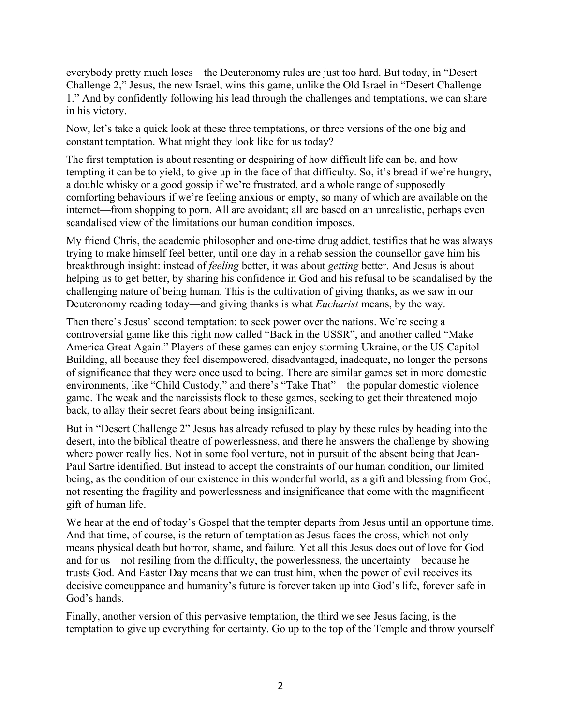everybody pretty much loses—the Deuteronomy rules are just too hard. But today, in "Desert Challenge 2," Jesus, the new Israel, wins this game, unlike the Old Israel in "Desert Challenge 1." And by confidently following his lead through the challenges and temptations, we can share in his victory.

Now, let's take a quick look at these three temptations, or three versions of the one big and constant temptation. What might they look like for us today?

The first temptation is about resenting or despairing of how difficult life can be, and how tempting it can be to yield, to give up in the face of that difficulty. So, it's bread if we're hungry, a double whisky or a good gossip if we're frustrated, and a whole range of supposedly comforting behaviours if we're feeling anxious or empty, so many of which are available on the internet—from shopping to porn. All are avoidant; all are based on an unrealistic, perhaps even scandalised view of the limitations our human condition imposes.

My friend Chris, the academic philosopher and one-time drug addict, testifies that he was always trying to make himself feel better, until one day in a rehab session the counsellor gave him his breakthrough insight: instead of *feeling* better, it was about *getting* better. And Jesus is about helping us to get better, by sharing his confidence in God and his refusal to be scandalised by the challenging nature of being human. This is the cultivation of giving thanks, as we saw in our Deuteronomy reading today—and giving thanks is what *Eucharist* means, by the way.

Then there's Jesus' second temptation: to seek power over the nations. We're seeing a controversial game like this right now called "Back in the USSR", and another called "Make America Great Again." Players of these games can enjoy storming Ukraine, or the US Capitol Building, all because they feel disempowered, disadvantaged, inadequate, no longer the persons of significance that they were once used to being. There are similar games set in more domestic environments, like "Child Custody," and there's "Take That"—the popular domestic violence game. The weak and the narcissists flock to these games, seeking to get their threatened mojo back, to allay their secret fears about being insignificant.

But in "Desert Challenge 2" Jesus has already refused to play by these rules by heading into the desert, into the biblical theatre of powerlessness, and there he answers the challenge by showing where power really lies. Not in some fool venture, not in pursuit of the absent being that Jean-Paul Sartre identified. But instead to accept the constraints of our human condition, our limited being, as the condition of our existence in this wonderful world, as a gift and blessing from God, not resenting the fragility and powerlessness and insignificance that come with the magnificent gift of human life.

We hear at the end of today's Gospel that the tempter departs from Jesus until an opportune time. And that time, of course, is the return of temptation as Jesus faces the cross, which not only means physical death but horror, shame, and failure. Yet all this Jesus does out of love for God and for us—not resiling from the difficulty, the powerlessness, the uncertainty—because he trusts God. And Easter Day means that we can trust him, when the power of evil receives its decisive comeuppance and humanity's future is forever taken up into God's life, forever safe in God's hands.

Finally, another version of this pervasive temptation, the third we see Jesus facing, is the temptation to give up everything for certainty. Go up to the top of the Temple and throw yourself